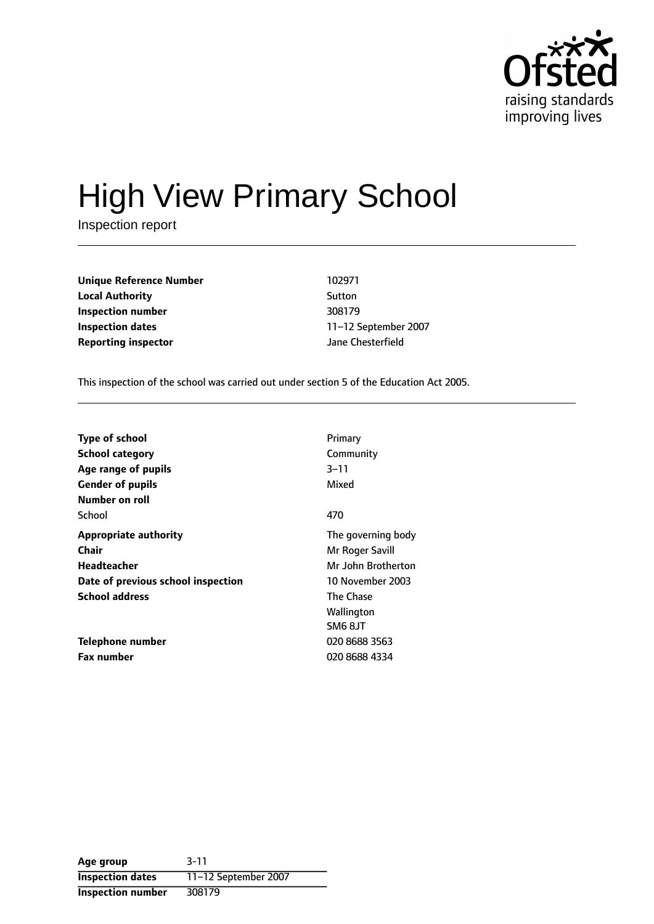

# High View Primary School

Inspection report

**Unique Reference Number** 102971 **Local Authority** Sutton **Inspection number** 308179 **Inspection dates** 11-12 September 2007 **Reporting inspector** Jane Chesterfield

This inspection of the school was carried out under section 5 of the Education Act 2005.

| Type of school                     | Primary            |
|------------------------------------|--------------------|
| <b>School category</b>             | Community          |
| Age range of pupils                | $3 - 11$           |
| <b>Gender of pupils</b>            | Mixed              |
| Number on roll                     |                    |
| School                             | 470                |
| <b>Appropriate authority</b>       | The governing body |
| Chair                              | Mr Roger Savill    |
| Headteacher                        | Mr John Brotherton |
| Date of previous school inspection | 10 November 2003   |
| <b>School address</b>              | <b>The Chase</b>   |
|                                    | Wallington         |
|                                    | SM6 8JT            |
| Telephone number                   | 020 8688 3563      |
| <b>Fax number</b>                  | 020 8688 4334      |

**Age group** 3-11 **Inspection dates** 11-12 September 2007 **Inspection number** 308179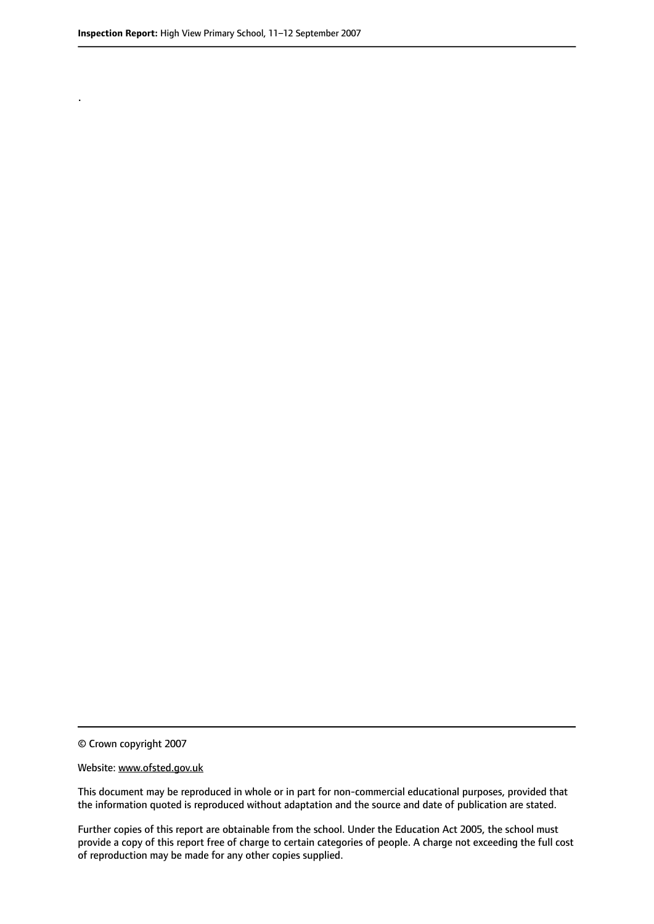.

© Crown copyright 2007

#### Website: www.ofsted.gov.uk

This document may be reproduced in whole or in part for non-commercial educational purposes, provided that the information quoted is reproduced without adaptation and the source and date of publication are stated.

Further copies of this report are obtainable from the school. Under the Education Act 2005, the school must provide a copy of this report free of charge to certain categories of people. A charge not exceeding the full cost of reproduction may be made for any other copies supplied.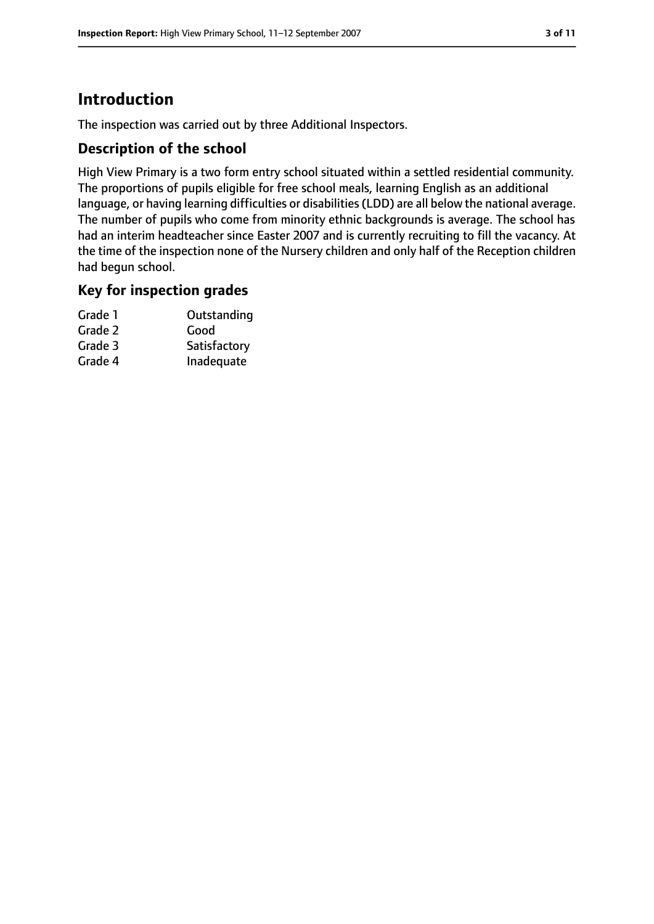### **Introduction**

The inspection was carried out by three Additional Inspectors.

#### **Description of the school**

High View Primary is a two form entry school situated within a settled residential community. The proportions of pupils eligible for free school meals, learning English as an additional language, or having learning difficulties or disabilities(LDD) are all below the national average. The number of pupils who come from minority ethnic backgrounds is average. The school has had an interim headteacher since Easter 2007 and is currently recruiting to fill the vacancy. At the time of the inspection none of the Nursery children and only half of the Reception children had begun school.

#### **Key for inspection grades**

| Grade 1 | Outstanding  |
|---------|--------------|
| Grade 2 | Good         |
| Grade 3 | Satisfactory |
| Grade 4 | Inadequate   |
|         |              |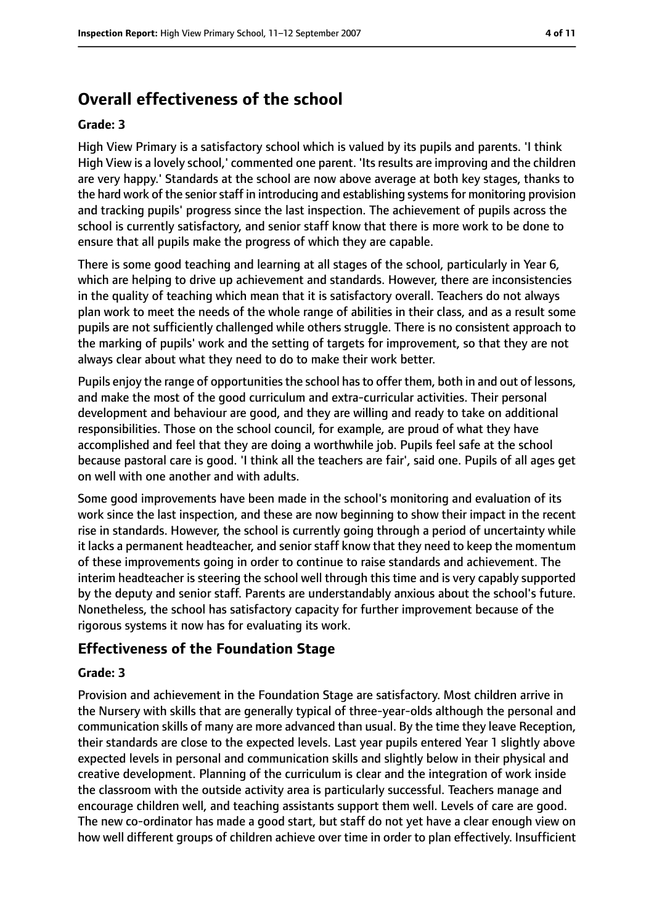### **Overall effectiveness of the school**

#### **Grade: 3**

High View Primary is a satisfactory school which is valued by its pupils and parents. 'I think High View is a lovely school,' commented one parent. 'Its results are improving and the children are very happy.' Standards at the school are now above average at both key stages, thanks to the hard work of the senior staff in introducing and establishing systems for monitoring provision and tracking pupils' progress since the last inspection. The achievement of pupils across the school is currently satisfactory, and senior staff know that there is more work to be done to ensure that all pupils make the progress of which they are capable.

There is some good teaching and learning at all stages of the school, particularly in Year 6, which are helping to drive up achievement and standards. However, there are inconsistencies in the quality of teaching which mean that it is satisfactory overall. Teachers do not always plan work to meet the needs of the whole range of abilities in their class, and as a result some pupils are not sufficiently challenged while others struggle. There is no consistent approach to the marking of pupils' work and the setting of targets for improvement, so that they are not always clear about what they need to do to make their work better.

Pupils enjoy the range of opportunities the school has to offer them, both in and out of lessons, and make the most of the good curriculum and extra-curricular activities. Their personal development and behaviour are good, and they are willing and ready to take on additional responsibilities. Those on the school council, for example, are proud of what they have accomplished and feel that they are doing a worthwhile job. Pupils feel safe at the school because pastoral care is good. 'I think all the teachers are fair', said one. Pupils of all ages get on well with one another and with adults.

Some good improvements have been made in the school's monitoring and evaluation of its work since the last inspection, and these are now beginning to show their impact in the recent rise in standards. However, the school is currently going through a period of uncertainty while it lacks a permanent headteacher, and senior staff know that they need to keep the momentum of these improvements going in order to continue to raise standards and achievement. The interim headteacher is steering the school well through this time and is very capably supported by the deputy and senior staff. Parents are understandably anxious about the school's future. Nonetheless, the school has satisfactory capacity for further improvement because of the rigorous systems it now has for evaluating its work.

#### **Effectiveness of the Foundation Stage**

#### **Grade: 3**

Provision and achievement in the Foundation Stage are satisfactory. Most children arrive in the Nursery with skills that are generally typical of three-year-olds although the personal and communication skills of many are more advanced than usual. By the time they leave Reception, their standards are close to the expected levels. Last year pupils entered Year 1 slightly above expected levels in personal and communication skills and slightly below in their physical and creative development. Planning of the curriculum is clear and the integration of work inside the classroom with the outside activity area is particularly successful. Teachers manage and encourage children well, and teaching assistants support them well. Levels of care are good. The new co-ordinator has made a good start, but staff do not yet have a clear enough view on how well different groups of children achieve over time in order to plan effectively. Insufficient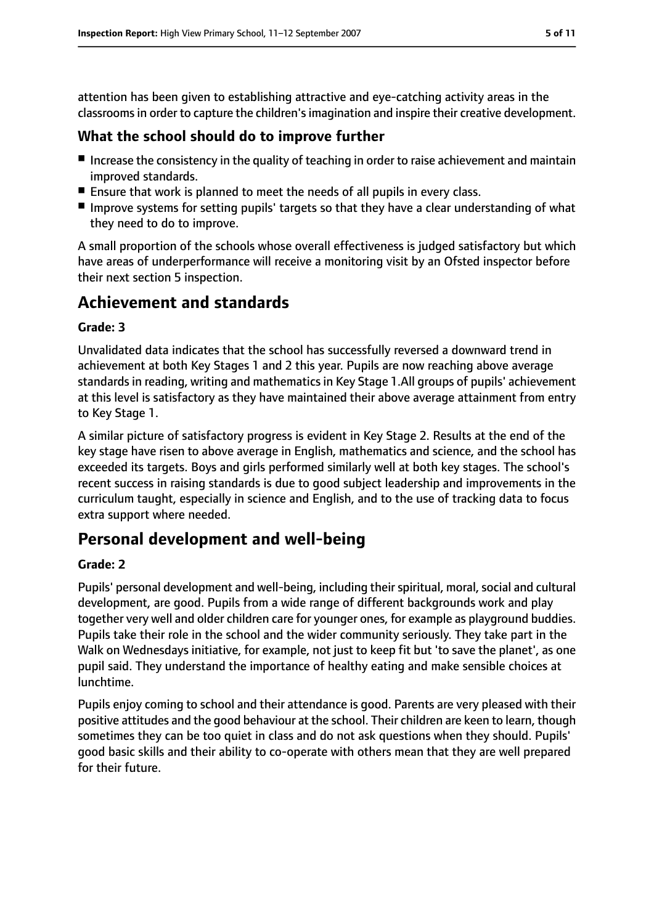attention has been given to establishing attractive and eye-catching activity areas in the classrooms in order to capture the children's imagination and inspire their creative development.

#### **What the school should do to improve further**

- Increase the consistency in the quality of teaching in order to raise achievement and maintain improved standards.
- Ensure that work is planned to meet the needs of all pupils in every class.
- Improve systems for setting pupils' targets so that they have a clear understanding of what they need to do to improve.

A small proportion of the schools whose overall effectiveness is judged satisfactory but which have areas of underperformance will receive a monitoring visit by an Ofsted inspector before their next section 5 inspection.

### **Achievement and standards**

#### **Grade: 3**

Unvalidated data indicates that the school has successfully reversed a downward trend in achievement at both Key Stages 1 and 2 this year. Pupils are now reaching above average standards in reading, writing and mathematics in Key Stage 1.All groups of pupils' achievement at this level is satisfactory as they have maintained their above average attainment from entry to Key Stage 1.

A similar picture of satisfactory progress is evident in Key Stage 2. Results at the end of the key stage have risen to above average in English, mathematics and science, and the school has exceeded its targets. Boys and girls performed similarly well at both key stages. The school's recent success in raising standards is due to good subject leadership and improvements in the curriculum taught, especially in science and English, and to the use of tracking data to focus extra support where needed.

### **Personal development and well-being**

#### **Grade: 2**

Pupils' personal development and well-being, including their spiritual, moral, social and cultural development, are good. Pupils from a wide range of different backgrounds work and play together very well and older children care for younger ones, for example as playground buddies. Pupils take their role in the school and the wider community seriously. They take part in the Walk on Wednesdays initiative, for example, not just to keep fit but 'to save the planet', as one pupil said. They understand the importance of healthy eating and make sensible choices at lunchtime.

Pupils enjoy coming to school and their attendance is good. Parents are very pleased with their positive attitudes and the good behaviour at the school. Their children are keen to learn, though sometimes they can be too quiet in class and do not ask questions when they should. Pupils' good basic skills and their ability to co-operate with others mean that they are well prepared for their future.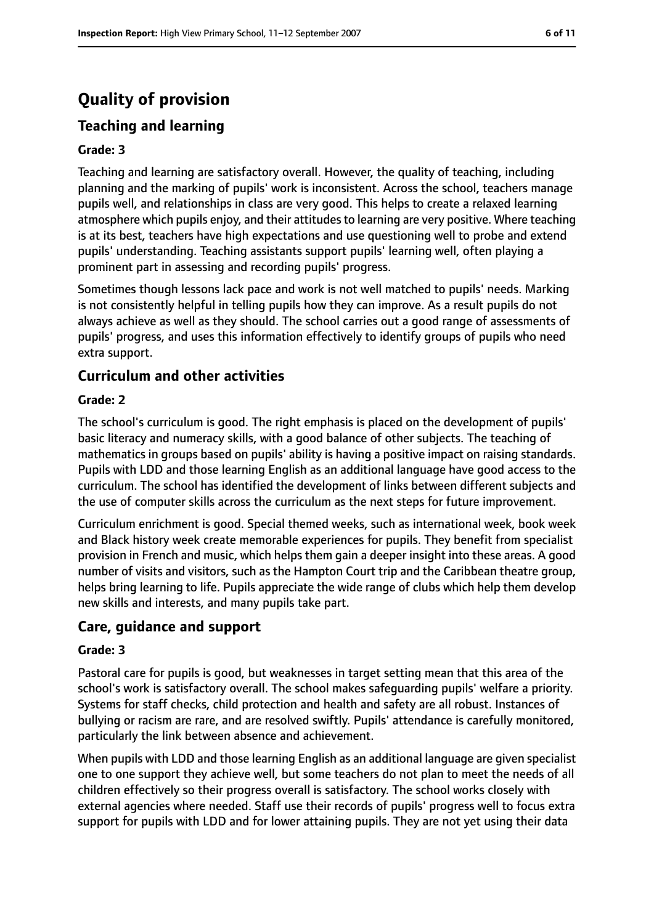### **Quality of provision**

### **Teaching and learning**

#### **Grade: 3**

Teaching and learning are satisfactory overall. However, the quality of teaching, including planning and the marking of pupils' work is inconsistent. Across the school, teachers manage pupils well, and relationships in class are very good. This helps to create a relaxed learning atmosphere which pupils enjoy, and their attitudes to learning are very positive. Where teaching is at its best, teachers have high expectations and use questioning well to probe and extend pupils' understanding. Teaching assistants support pupils' learning well, often playing a prominent part in assessing and recording pupils' progress.

Sometimes though lessons lack pace and work is not well matched to pupils' needs. Marking is not consistently helpful in telling pupils how they can improve. As a result pupils do not always achieve as well as they should. The school carries out a good range of assessments of pupils' progress, and uses this information effectively to identify groups of pupils who need extra support.

#### **Curriculum and other activities**

#### **Grade: 2**

The school's curriculum is good. The right emphasis is placed on the development of pupils' basic literacy and numeracy skills, with a good balance of other subjects. The teaching of mathematics in groups based on pupils' ability is having a positive impact on raising standards. Pupils with LDD and those learning English as an additional language have good access to the curriculum. The school has identified the development of links between different subjects and the use of computer skills across the curriculum as the next steps for future improvement.

Curriculum enrichment is good. Special themed weeks, such as international week, book week and Black history week create memorable experiences for pupils. They benefit from specialist provision in French and music, which helps them gain a deeper insight into these areas. A good number of visits and visitors, such as the Hampton Court trip and the Caribbean theatre group, helps bring learning to life. Pupils appreciate the wide range of clubs which help them develop new skills and interests, and many pupils take part.

#### **Care, guidance and support**

#### **Grade: 3**

Pastoral care for pupils is good, but weaknesses in target setting mean that this area of the school's work is satisfactory overall. The school makes safeguarding pupils' welfare a priority. Systems for staff checks, child protection and health and safety are all robust. Instances of bullying or racism are rare, and are resolved swiftly. Pupils' attendance is carefully monitored, particularly the link between absence and achievement.

When pupils with LDD and those learning English as an additional language are given specialist one to one support they achieve well, but some teachers do not plan to meet the needs of all children effectively so their progress overall is satisfactory. The school works closely with external agencies where needed. Staff use their records of pupils' progress well to focus extra support for pupils with LDD and for lower attaining pupils. They are not yet using their data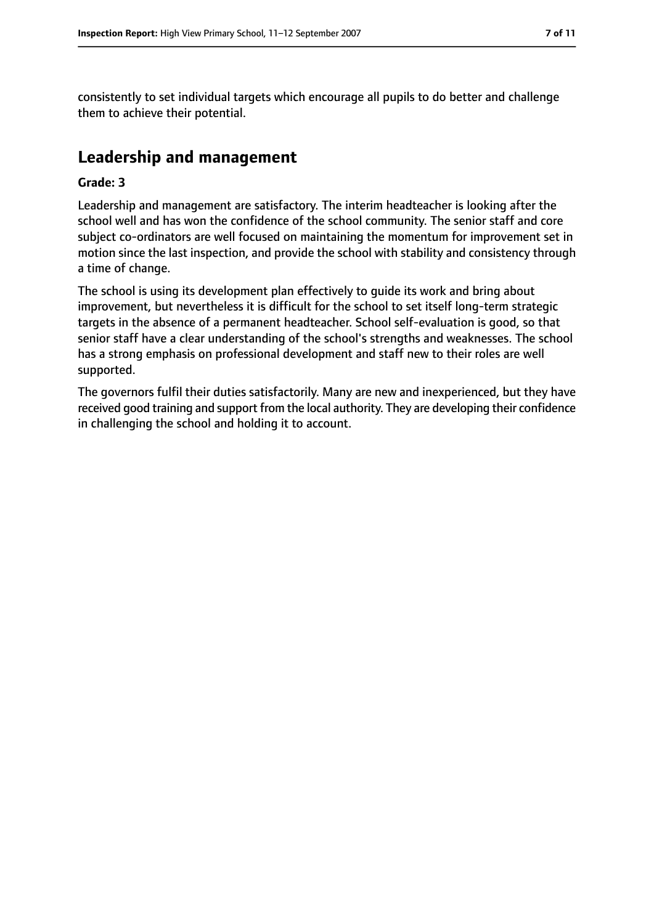consistently to set individual targets which encourage all pupils to do better and challenge them to achieve their potential.

### **Leadership and management**

#### **Grade: 3**

Leadership and management are satisfactory. The interim headteacher is looking after the school well and has won the confidence of the school community. The senior staff and core subject co-ordinators are well focused on maintaining the momentum for improvement set in motion since the last inspection, and provide the school with stability and consistency through a time of change.

The school is using its development plan effectively to guide its work and bring about improvement, but nevertheless it is difficult for the school to set itself long-term strategic targets in the absence of a permanent headteacher. School self-evaluation is good, so that senior staff have a clear understanding of the school's strengths and weaknesses. The school has a strong emphasis on professional development and staff new to their roles are well supported.

The governors fulfil their duties satisfactorily. Many are new and inexperienced, but they have received good training and support from the local authority. They are developing their confidence in challenging the school and holding it to account.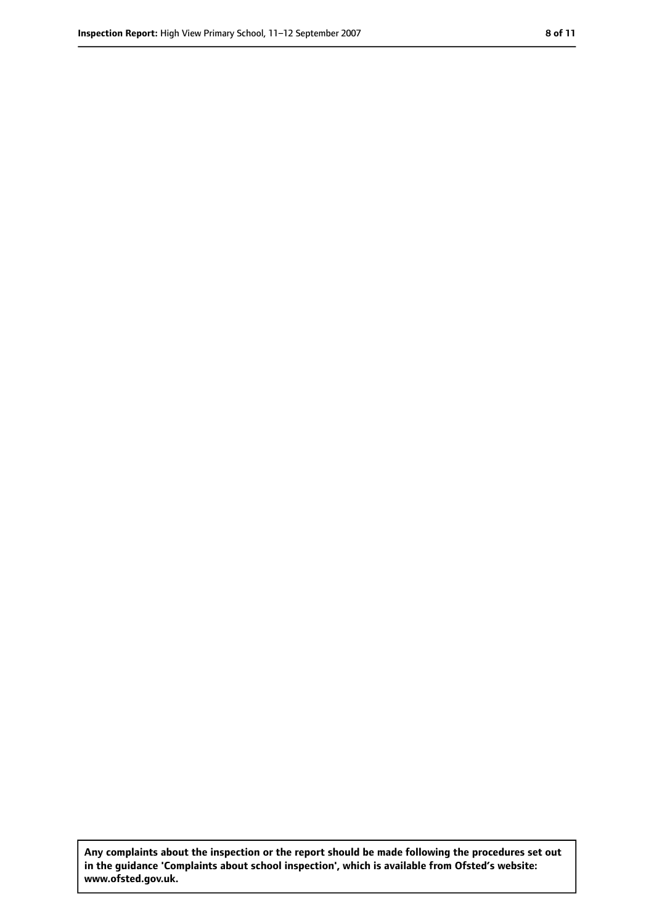**Any complaints about the inspection or the report should be made following the procedures set out in the guidance 'Complaints about school inspection', which is available from Ofsted's website: www.ofsted.gov.uk.**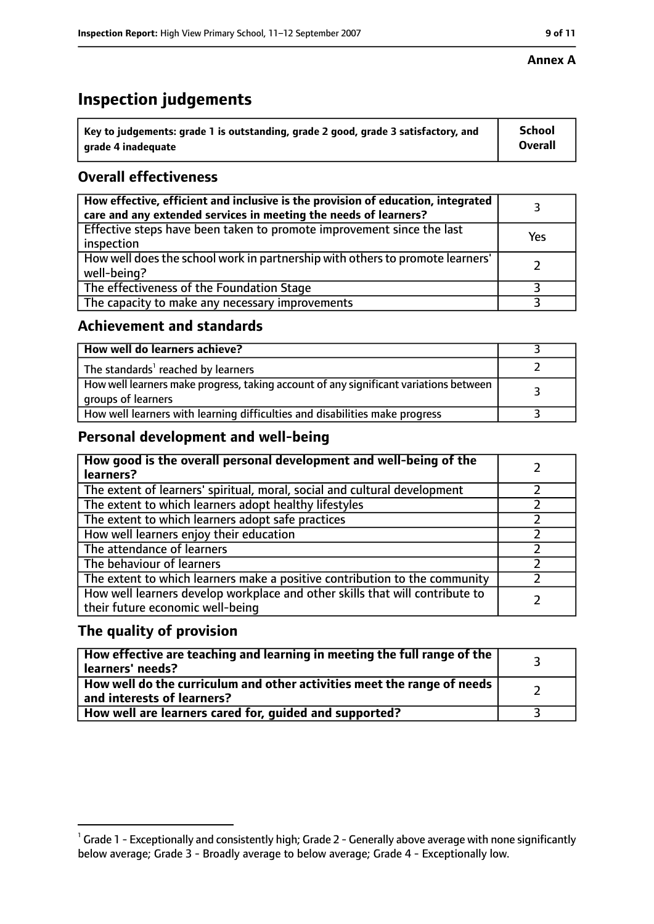### **Inspection judgements**

| $^{\backprime}$ Key to judgements: grade 1 is outstanding, grade 2 good, grade 3 satisfactory, and | <b>School</b>  |
|----------------------------------------------------------------------------------------------------|----------------|
| l  arade 4 inadequate                                                                              | <b>Overall</b> |

### **Overall effectiveness**

| How effective, efficient and inclusive is the provision of education, integrated<br>care and any extended services in meeting the needs of learners? |     |
|------------------------------------------------------------------------------------------------------------------------------------------------------|-----|
| Effective steps have been taken to promote improvement since the last<br>inspection                                                                  | Yes |
| How well does the school work in partnership with others to promote learners'<br>well-being?                                                         |     |
| The effectiveness of the Foundation Stage                                                                                                            |     |
| The capacity to make any necessary improvements                                                                                                      |     |

#### **Achievement and standards**

| How well do learners achieve?                                                                               |  |
|-------------------------------------------------------------------------------------------------------------|--|
| The standards <sup>1</sup> reached by learners                                                              |  |
| How well learners make progress, taking account of any significant variations between<br>groups of learners |  |
| How well learners with learning difficulties and disabilities make progress                                 |  |

#### **Personal development and well-being**

| How good is the overall personal development and well-being of the<br>learners?                                  |  |
|------------------------------------------------------------------------------------------------------------------|--|
| The extent of learners' spiritual, moral, social and cultural development                                        |  |
| The extent to which learners adopt healthy lifestyles                                                            |  |
| The extent to which learners adopt safe practices                                                                |  |
| How well learners enjoy their education                                                                          |  |
| The attendance of learners                                                                                       |  |
| The behaviour of learners                                                                                        |  |
| The extent to which learners make a positive contribution to the community                                       |  |
| How well learners develop workplace and other skills that will contribute to<br>their future economic well-being |  |

#### **The quality of provision**

| How effective are teaching and learning in meeting the full range of the<br>learners' needs?          |  |
|-------------------------------------------------------------------------------------------------------|--|
| How well do the curriculum and other activities meet the range of needs<br>and interests of learners? |  |
| How well are learners cared for, quided and supported?                                                |  |

 $^1$  Grade 1 - Exceptionally and consistently high; Grade 2 - Generally above average with none significantly below average; Grade 3 - Broadly average to below average; Grade 4 - Exceptionally low.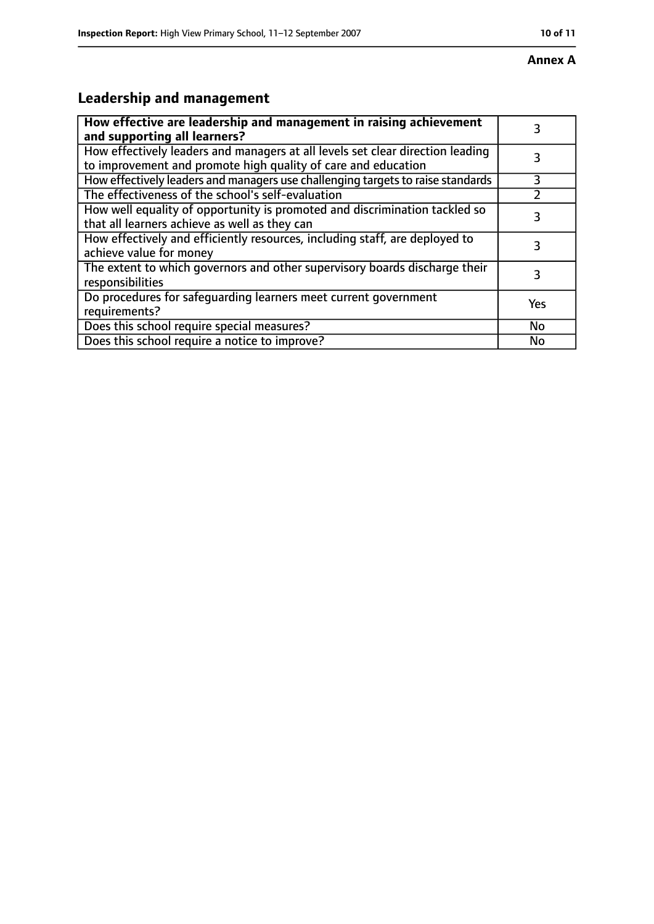## **Leadership and management**

| How effective are leadership and management in raising achievement<br>and supporting all learners?                                              | 3         |
|-------------------------------------------------------------------------------------------------------------------------------------------------|-----------|
| How effectively leaders and managers at all levels set clear direction leading<br>to improvement and promote high quality of care and education |           |
| How effectively leaders and managers use challenging targets to raise standards                                                                 | 3         |
| The effectiveness of the school's self-evaluation                                                                                               |           |
| How well equality of opportunity is promoted and discrimination tackled so<br>that all learners achieve as well as they can                     | 3         |
| How effectively and efficiently resources, including staff, are deployed to<br>achieve value for money                                          | 3         |
| The extent to which governors and other supervisory boards discharge their<br>responsibilities                                                  | 3         |
| Do procedures for safequarding learners meet current government<br>requirements?                                                                | Yes       |
| Does this school require special measures?                                                                                                      | <b>No</b> |
| Does this school require a notice to improve?                                                                                                   | No        |